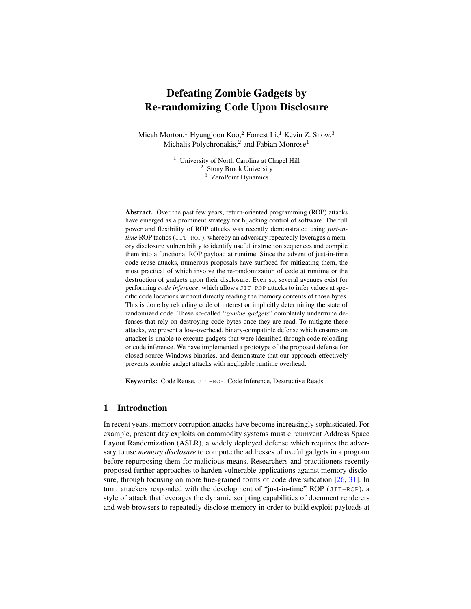# Defeating Zombie Gadgets by Re-randomizing Code Upon Disclosure

Micah Morton,<sup>1</sup> Hyungjoon Koo,<sup>2</sup> Forrest Li,<sup>1</sup> Kevin Z. Snow,<sup>3</sup> Michalis Polychronakis,<sup>2</sup> and Fabian Monrose<sup>1</sup>

> <sup>1</sup> University of North Carolina at Chapel Hill <sup>2</sup> Stony Brook University <sup>3</sup> ZeroPoint Dynamics

Abstract. Over the past few years, return-oriented programming (ROP) attacks have emerged as a prominent strategy for hijacking control of software. The full power and flexibility of ROP attacks was recently demonstrated using *just-intime* ROP tactics (JIT-ROP), whereby an adversary repeatedly leverages a memory disclosure vulnerability to identify useful instruction sequences and compile them into a functional ROP payload at runtime. Since the advent of just-in-time code reuse attacks, numerous proposals have surfaced for mitigating them, the most practical of which involve the re-randomization of code at runtime or the destruction of gadgets upon their disclosure. Even so, several avenues exist for performing *code inference*, which allows JIT-ROP attacks to infer values at specific code locations without directly reading the memory contents of those bytes. This is done by reloading code of interest or implicitly determining the state of randomized code. These so-called "*zombie gadgets*" completely undermine defenses that rely on destroying code bytes once they are read. To mitigate these attacks, we present a low-overhead, binary-compatible defense which ensures an attacker is unable to execute gadgets that were identified through code reloading or code inference. We have implemented a prototype of the proposed defense for closed-source Windows binaries, and demonstrate that our approach effectively prevents zombie gadget attacks with negligible runtime overhead.

Keywords: Code Reuse, JIT-ROP, Code Inference, Destructive Reads

# 1 Introduction

In recent years, memory corruption attacks have become increasingly sophisticated. For example, present day exploits on commodity systems must circumvent Address Space Layout Randomization (ASLR), a widely deployed defense which requires the adversary to use *memory disclosure* to compute the addresses of useful gadgets in a program before repurposing them for malicious means. Researchers and practitioners recently proposed further approaches to harden vulnerable applications against memory disclosure, through focusing on more fine-grained forms of code diversification [\[26,](#page-16-0) [31\]](#page-16-1). In turn, attackers responded with the development of "just-in-time" ROP ( $JIT-ROP$ ), a style of attack that leverages the dynamic scripting capabilities of document renderers and web browsers to repeatedly disclose memory in order to build exploit payloads at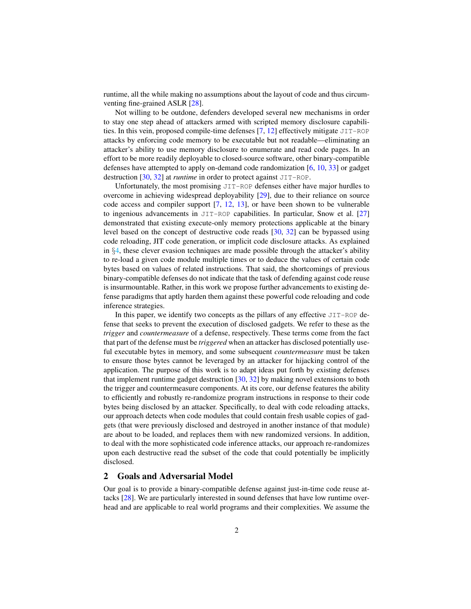runtime, all the while making no assumptions about the layout of code and thus circumventing fine-grained ASLR [\[28\]](#page-16-2).

Not willing to be outdone, defenders developed several new mechanisms in order to stay one step ahead of attackers armed with scripted memory disclosure capabilities. In this vein, proposed compile-time defenses [\[7,](#page-15-0) [12\]](#page-15-1) effectively mitigate JIT-ROP attacks by enforcing code memory to be executable but not readable—eliminating an attacker's ability to use memory disclosure to enumerate and read code pages. In an effort to be more readily deployable to closed-source software, other binary-compatible defenses have attempted to apply on-demand code randomization [\[6,](#page-14-0) [10,](#page-15-2) [33\]](#page-16-3) or gadget destruction [\[30,](#page-16-4) [32\]](#page-16-5) at *runtime* in order to protect against JIT-ROP.

Unfortunately, the most promising JIT-ROP defenses either have major hurdles to overcome in achieving widespread deployability [\[29\]](#page-16-6), due to their reliance on source code access and compiler support [\[7,](#page-15-0) [12,](#page-15-1) [13\]](#page-15-3), or have been shown to be vulnerable to ingenious advancements in JIT-ROP capabilities. In particular, Snow et al. [\[27\]](#page-16-7) demonstrated that existing execute-only memory protections applicable at the binary level based on the concept of destructive code reads [\[30,](#page-16-4) [32\]](#page-16-5) can be bypassed using code reloading, JIT code generation, or implicit code disclosure attacks. As explained in  $\S$ [4,](#page-3-0) these clever evasion techniques are made possible through the attacker's ability to re-load a given code module multiple times or to deduce the values of certain code bytes based on values of related instructions. That said, the shortcomings of previous binary-compatible defenses do not indicate that the task of defending against code reuse is insurmountable. Rather, in this work we propose further advancements to existing defense paradigms that aptly harden them against these powerful code reloading and code inference strategies.

In this paper, we identify two concepts as the pillars of any effective JIT-ROP defense that seeks to prevent the execution of disclosed gadgets. We refer to these as the *trigger* and *countermeasure* of a defense, respectively. These terms come from the fact that part of the defense must be *triggered* when an attacker has disclosed potentially useful executable bytes in memory, and some subsequent *countermeasure* must be taken to ensure those bytes cannot be leveraged by an attacker for hijacking control of the application. The purpose of this work is to adapt ideas put forth by existing defenses that implement runtime gadget destruction [\[30,](#page-16-4) [32\]](#page-16-5) by making novel extensions to both the trigger and countermeasure components. At its core, our defense features the ability to efficiently and robustly re-randomize program instructions in response to their code bytes being disclosed by an attacker. Specifically, to deal with code reloading attacks, our approach detects when code modules that could contain fresh usable copies of gadgets (that were previously disclosed and destroyed in another instance of that module) are about to be loaded, and replaces them with new randomized versions. In addition, to deal with the more sophisticated code inference attacks, our approach re-randomizes upon each destructive read the subset of the code that could potentially be implicitly disclosed.

## 2 Goals and Adversarial Model

Our goal is to provide a binary-compatible defense against just-in-time code reuse attacks [\[28\]](#page-16-2). We are particularly interested in sound defenses that have low runtime overhead and are applicable to real world programs and their complexities. We assume the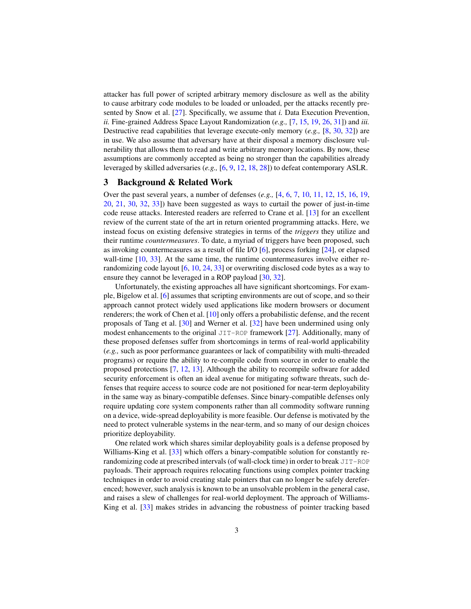attacker has full power of scripted arbitrary memory disclosure as well as the ability to cause arbitrary code modules to be loaded or unloaded, per the attacks recently presented by Snow et al. [\[27\]](#page-16-7). Specifically, we assume that *i.* Data Execution Prevention, *ii.* Fine-grained Address Space Layout Randomization (*e.g.,* [\[7,](#page-15-0) [15,](#page-15-4) [19,](#page-15-5) [26,](#page-16-0) [31\]](#page-16-1)) and *iii.* Destructive read capabilities that leverage execute-only memory (*e.g.,* [\[8,](#page-15-6) [30,](#page-16-4) [32\]](#page-16-5)) are in use. We also assume that adversary have at their disposal a memory disclosure vulnerability that allows them to read and write arbitrary memory locations. By now, these assumptions are commonly accepted as being no stronger than the capabilities already leveraged by skilled adversaries (*e.g.,* [\[6,](#page-14-0) [9,](#page-15-7) [12,](#page-15-1) [18,](#page-15-8) [28\]](#page-16-2)) to defeat contemporary ASLR.

# <span id="page-2-0"></span>3 Background & Related Work

Over the past several years, a number of defenses (*e.g.,* [\[4,](#page-14-1) [6,](#page-14-0) [7,](#page-15-0) [10,](#page-15-2) [11,](#page-15-9) [12,](#page-15-1) [15,](#page-15-4) [16,](#page-15-10) [19,](#page-15-5) [20,](#page-15-11) [21,](#page-15-12) [30,](#page-16-4) [32,](#page-16-5) [33\]](#page-16-3)) have been suggested as ways to curtail the power of just-in-time code reuse attacks. Interested readers are referred to Crane et al. [\[13\]](#page-15-3) for an excellent review of the current state of the art in return oriented programming attacks. Here, we instead focus on existing defensive strategies in terms of the *triggers* they utilize and their runtime *countermeasures*. To date, a myriad of triggers have been proposed, such as invoking countermeasures as a result of file I/O [\[6\]](#page-14-0), process forking [\[24\]](#page-16-8), or elapsed wall-time [\[10,](#page-15-2) [33\]](#page-16-3). At the same time, the runtime countermeasures involve either rerandomizing code layout  $[6, 10, 24, 33]$  $[6, 10, 24, 33]$  $[6, 10, 24, 33]$  $[6, 10, 24, 33]$  $[6, 10, 24, 33]$  $[6, 10, 24, 33]$  $[6, 10, 24, 33]$  or overwriting disclosed code bytes as a way to ensure they cannot be leveraged in a ROP payload [\[30,](#page-16-4) [32\]](#page-16-5).

Unfortunately, the existing approaches all have significant shortcomings. For example, Bigelow et al. [\[6\]](#page-14-0) assumes that scripting environments are out of scope, and so their approach cannot protect widely used applications like modern browsers or document renderers; the work of Chen et al. [\[10\]](#page-15-2) only offers a probabilistic defense, and the recent proposals of Tang et al. [\[30\]](#page-16-4) and Werner et al. [\[32\]](#page-16-5) have been undermined using only modest enhancements to the original  $JIT-ROP$  framework [\[27\]](#page-16-7). Additionally, many of these proposed defenses suffer from shortcomings in terms of real-world applicability (*e.g.,* such as poor performance guarantees or lack of compatibility with multi-threaded programs) or require the ability to re-compile code from source in order to enable the proposed protections [\[7,](#page-15-0) [12,](#page-15-1) [13\]](#page-15-3). Although the ability to recompile software for added security enforcement is often an ideal avenue for mitigating software threats, such defenses that require access to source code are not positioned for near-term deployability in the same way as binary-compatible defenses. Since binary-compatible defenses only require updating core system components rather than all commodity software running on a device, wide-spread deployability is more feasible. Our defense is motivated by the need to protect vulnerable systems in the near-term, and so many of our design choices prioritize deployability.

One related work which shares similar deployability goals is a defense proposed by Williams-King et al. [\[33\]](#page-16-3) which offers a binary-compatible solution for constantly rerandomizing code at prescribed intervals (of wall-clock time) in order to break JIT-ROP payloads. Their approach requires relocating functions using complex pointer tracking techniques in order to avoid creating stale pointers that can no longer be safely dereferenced; however, such analysis is known to be an unsolvable problem in the general case, and raises a slew of challenges for real-world deployment. The approach of Williams-King et al. [\[33\]](#page-16-3) makes strides in advancing the robustness of pointer tracking based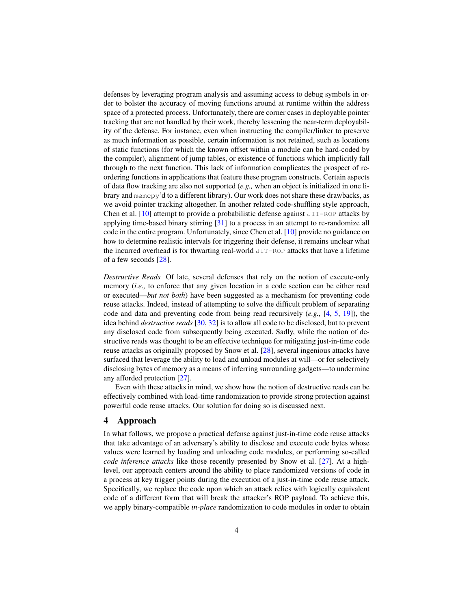defenses by leveraging program analysis and assuming access to debug symbols in order to bolster the accuracy of moving functions around at runtime within the address space of a protected process. Unfortunately, there are corner cases in deployable pointer tracking that are not handled by their work, thereby lessening the near-term deployability of the defense. For instance, even when instructing the compiler/linker to preserve as much information as possible, certain information is not retained, such as locations of static functions (for which the known offset within a module can be hard-coded by the compiler), alignment of jump tables, or existence of functions which implicitly fall through to the next function. This lack of information complicates the prospect of reordering functions in applications that feature these program constructs. Certain aspects of data flow tracking are also not supported (*e.g.,* when an object is initialized in one library and memcpy'd to a different library). Our work does not share these drawbacks, as we avoid pointer tracking altogether. In another related code-shuffling style approach, Chen et al.  $[10]$  attempt to provide a probabilistic defense against  $JIT-ROP$  attacks by applying time-based binary stirring [\[31\]](#page-16-1) to a process in an attempt to re-randomize all code in the entire program. Unfortunately, since Chen et al. [\[10\]](#page-15-2) provide no guidance on how to determine realistic intervals for triggering their defense, it remains unclear what the incurred overhead is for thwarting real-world JIT-ROP attacks that have a lifetime of a few seconds [\[28\]](#page-16-2).

*Destructive Reads* Of late, several defenses that rely on the notion of execute-only memory (*i.e.,* to enforce that any given location in a code section can be either read or executed—*but not both*) have been suggested as a mechanism for preventing code reuse attacks. Indeed, instead of attempting to solve the difficult problem of separating code and data and preventing code from being read recursively (*e.g.,* [\[4,](#page-14-1) [5,](#page-14-2) [19\]](#page-15-5)), the idea behind *destructive reads* [\[30,](#page-16-4) [32\]](#page-16-5) is to allow all code to be disclosed, but to prevent any disclosed code from subsequently being executed. Sadly, while the notion of destructive reads was thought to be an effective technique for mitigating just-in-time code reuse attacks as originally proposed by Snow et al. [\[28\]](#page-16-2), several ingenious attacks have surfaced that leverage the ability to load and unload modules at will—or for selectively disclosing bytes of memory as a means of inferring surrounding gadgets—to undermine any afforded protection [\[27\]](#page-16-7).

Even with these attacks in mind, we show how the notion of destructive reads can be effectively combined with load-time randomization to provide strong protection against powerful code reuse attacks. Our solution for doing so is discussed next.

## <span id="page-3-0"></span>4 Approach

In what follows, we propose a practical defense against just-in-time code reuse attacks that take advantage of an adversary's ability to disclose and execute code bytes whose values were learned by loading and unloading code modules, or performing so-called *code inference attacks* like those recently presented by Snow et al. [\[27\]](#page-16-7). At a highlevel, our approach centers around the ability to place randomized versions of code in a process at key trigger points during the execution of a just-in-time code reuse attack. Specifically, we replace the code upon which an attack relies with logically equivalent code of a different form that will break the attacker's ROP payload. To achieve this, we apply binary-compatible *in-place* randomization to code modules in order to obtain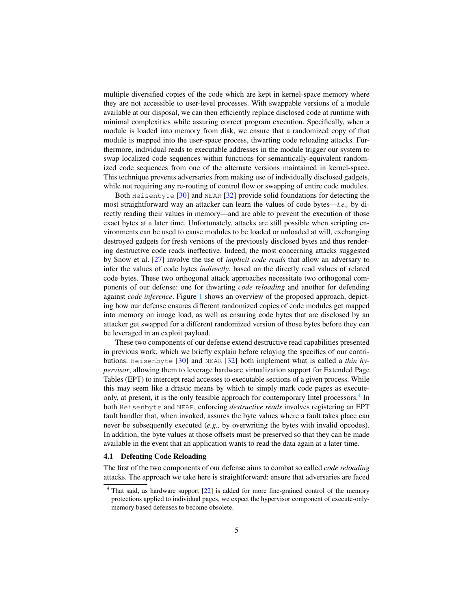multiple diversified copies of the code which are kept in kernel-space memory where they are not accessible to user-level processes. With swappable versions of a module available at our disposal, we can then efficiently replace disclosed code at runtime with minimal complexities while assuring correct program execution. Specifically, when a module is loaded into memory from disk, we ensure that a randomized copy of that module is mapped into the user-space process, thwarting code reloading attacks. Furthermore, individual reads to executable addresses in the module trigger our system to swap localized code sequences within functions for semantically-equivalent randomized code sequences from one of the alternate versions maintained in kernel-space. This technique prevents adversaries from making use of individually disclosed gadgets, while not requiring any re-routing of control flow or swapping of entire code modules.

Both Heisenbyte [\[30\]](#page-16-4) and NEAR [\[32\]](#page-16-5) provide solid foundations for detecting the most straightforward way an attacker can learn the values of code bytes—*i.e.,* by directly reading their values in memory—and are able to prevent the execution of those exact bytes at a later time. Unfortunately, attacks are still possible when scripting environments can be used to cause modules to be loaded or unloaded at will, exchanging destroyed gadgets for fresh versions of the previously disclosed bytes and thus rendering destructive code reads ineffective. Indeed, the most concerning attacks suggested by Snow et al. [\[27\]](#page-16-7) involve the use of *implicit code reads* that allow an adversary to infer the values of code bytes *indirectly*, based on the directly read values of related code bytes. These two orthogonal attack approaches necessitate two orthogonal components of our defense: one for thwarting *code reloading* and another for defending against *code inference*. Figure [1](#page-5-0) shows an overview of the proposed approach, depicting how our defense ensures different randomized copies of code modules get mapped into memory on image load, as well as ensuring code bytes that are disclosed by an attacker get swapped for a different randomized version of those bytes before they can be leveraged in an exploit payload.

These two components of our defense extend destructive read capabilities presented in previous work, which we briefly explain before relaying the specifics of our contributions. Heisenbyte [\[30\]](#page-16-4) and NEAR [\[32\]](#page-16-5) both implement what is called a *thin hypervisor*, allowing them to leverage hardware virtualization support for Extended Page Tables (EPT) to intercept read accesses to executable sections of a given process. While this may seem like a drastic means by which to simply mark code pages as execute-only, at present, it is the only feasible approach for contemporary Intel processors.<sup>[4](#page-4-0)</sup> In both Heisenbyte and NEAR, enforcing *destructive reads* involves registering an EPT fault handler that, when invoked, assures the byte values where a fault takes place can never be subsequently executed (*e.g.,* by overwriting the bytes with invalid opcodes). In addition, the byte values at those offsets must be preserved so that they can be made available in the event that an application wants to read the data again at a later time.

## 4.1 Defeating Code Reloading

The first of the two components of our defense aims to combat so called *code reloading* attacks. The approach we take here is straightforward: ensure that adversaries are faced

<span id="page-4-0"></span><sup>&</sup>lt;sup>4</sup> That said, as hardware support [\[22\]](#page-15-13) is added for more fine-grained control of the memory protections applied to individual pages, we expect the hypervisor component of execute-onlymemory based defenses to become obsolete.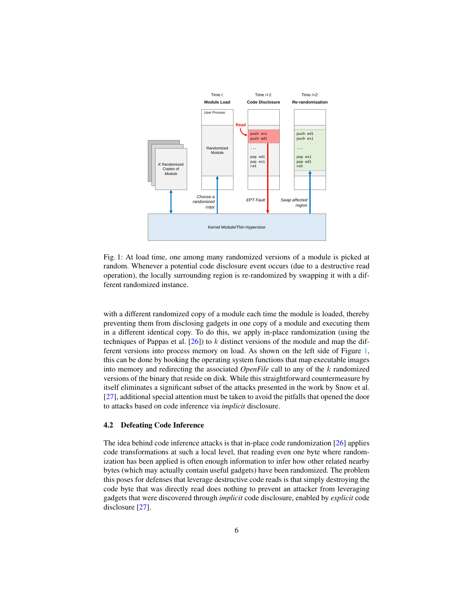<span id="page-5-0"></span>

Fig. 1: At load time, one among many randomized versions of a module is picked at random. Whenever a potential code disclosure event occurs (due to a destructive read operation), the locally surrounding region is re-randomized by swapping it with a different randomized instance.

with a different randomized copy of a module each time the module is loaded, thereby preventing them from disclosing gadgets in one copy of a module and executing them in a different identical copy. To do this, we apply in-place randomization (using the techniques of Pappas et al.  $[26]$ ) to k distinct versions of the module and map the different versions into process memory on load. As shown on the left side of Figure [1,](#page-5-0) this can be done by hooking the operating system functions that map executable images into memory and redirecting the associated *OpenFile* call to any of the k randomized versions of the binary that reside on disk. While this straightforward countermeasure by itself eliminates a significant subset of the attacks presented in the work by Snow et al. [\[27\]](#page-16-7), additional special attention must be taken to avoid the pitfalls that opened the door to attacks based on code inference via *implicit* disclosure.

#### 4.2 Defeating Code Inference

The idea behind code inference attacks is that in-place code randomization [\[26\]](#page-16-0) applies code transformations at such a local level, that reading even one byte where randomization has been applied is often enough information to infer how other related nearby bytes (which may actually contain useful gadgets) have been randomized. The problem this poses for defenses that leverage destructive code reads is that simply destroying the code byte that was directly read does nothing to prevent an attacker from leveraging gadgets that were discovered through *implicit* code disclosure, enabled by *explicit* code disclosure [\[27\]](#page-16-7).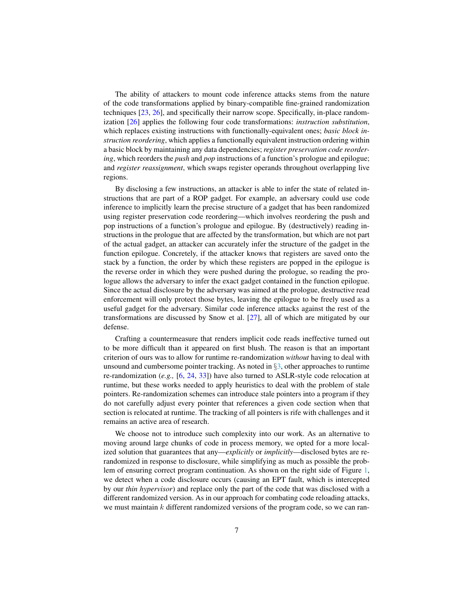The ability of attackers to mount code inference attacks stems from the nature of the code transformations applied by binary-compatible fine-grained randomization techniques [\[23,](#page-16-9) [26\]](#page-16-0), and specifically their narrow scope. Specifically, in-place randomization [\[26\]](#page-16-0) applies the following four code transformations: *instruction substitution*, which replaces existing instructions with functionally-equivalent ones; *basic block instruction reordering*, which applies a functionally equivalent instruction ordering within a basic block by maintaining any data dependencies; *register preservation code reordering*, which reorders the *push* and *pop* instructions of a function's prologue and epilogue; and *register reassignment*, which swaps register operands throughout overlapping live regions.

By disclosing a few instructions, an attacker is able to infer the state of related instructions that are part of a ROP gadget. For example, an adversary could use code inference to implicitly learn the precise structure of a gadget that has been randomized using register preservation code reordering—which involves reordering the push and pop instructions of a function's prologue and epilogue. By (destructively) reading instructions in the prologue that are affected by the transformation, but which are not part of the actual gadget, an attacker can accurately infer the structure of the gadget in the function epilogue. Concretely, if the attacker knows that registers are saved onto the stack by a function, the order by which these registers are popped in the epilogue is the reverse order in which they were pushed during the prologue, so reading the prologue allows the adversary to infer the exact gadget contained in the function epilogue. Since the actual disclosure by the adversary was aimed at the prologue, destructive read enforcement will only protect those bytes, leaving the epilogue to be freely used as a useful gadget for the adversary. Similar code inference attacks against the rest of the transformations are discussed by Snow et al. [\[27\]](#page-16-7), all of which are mitigated by our defense.

Crafting a countermeasure that renders implicit code reads ineffective turned out to be more difficult than it appeared on first blush. The reason is that an important criterion of ours was to allow for runtime re-randomization *without* having to deal with unsound and cumbersome pointer tracking. As noted in  $\S$ [3,](#page-2-0) other approaches to runtime re-randomization (*e.g.,* [\[6,](#page-14-0) [24,](#page-16-8) [33\]](#page-16-3)) have also turned to ASLR-style code relocation at runtime, but these works needed to apply heuristics to deal with the problem of stale pointers. Re-randomization schemes can introduce stale pointers into a program if they do not carefully adjust every pointer that references a given code section when that section is relocated at runtime. The tracking of all pointers is rife with challenges and it remains an active area of research.

We choose not to introduce such complexity into our work. As an alternative to moving around large chunks of code in process memory, we opted for a more localized solution that guarantees that any—*explicitly* or *implicitly*—disclosed bytes are rerandomized in response to disclosure, while simplifying as much as possible the problem of ensuring correct program continuation. As shown on the right side of Figure [1,](#page-5-0) we detect when a code disclosure occurs (causing an EPT fault, which is intercepted by our *thin hypervisor*) and replace only the part of the code that was disclosed with a different randomized version. As in our approach for combating code reloading attacks, we must maintain  $k$  different randomized versions of the program code, so we can ran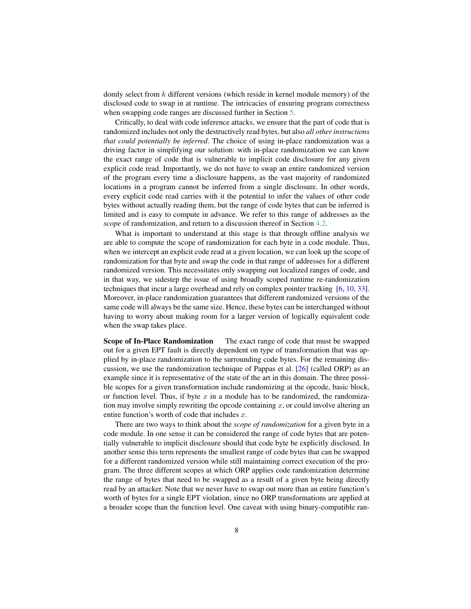domly select from  $k$  different versions (which reside in kernel module memory) of the disclosed code to swap in at runtime. The intricacies of ensuring program correctness when swapping code ranges are discussed further in Section [5.](#page-9-0)

Critically, to deal with code inference attacks, we ensure that the part of code that is randomized includes not only the destructively read bytes, but also *all other instructions that could potentially be inferred*. The choice of using in-place randomization was a driving factor in simplifying our solution: with in-place randomization we can know the exact range of code that is vulnerable to implicit code disclosure for any given explicit code read. Importantly, we do not have to swap an entire randomized version of the program every time a disclosure happens, as the vast majority of randomized locations in a program cannot be inferred from a single disclosure. In other words, every explicit code read carries with it the potential to infer the values of other code bytes without actually reading them, but the range of code bytes that can be inferred is limited and is easy to compute in advance. We refer to this range of addresses as the *scope* of randomization, and return to a discussion thereof in Section [4.2.](#page-7-0)

What is important to understand at this stage is that through offline analysis we are able to compute the scope of randomization for each byte in a code module. Thus, when we intercept an explicit code read at a given location, we can look up the scope of randomization for that byte and swap the code in that range of addresses for a different randomized version. This necessitates only swapping out localized ranges of code, and in that way, we sidestep the issue of using broadly scoped runtime re-randomization techniques that incur a large overhead and rely on complex pointer tracking [\[6,](#page-14-0) [10,](#page-15-2) [33\]](#page-16-3). Moreover, in-place randomization guarantees that different randomized versions of the same code will always be the same size. Hence, these bytes can be interchanged without having to worry about making room for a larger version of logically equivalent code when the swap takes place.

<span id="page-7-0"></span>Scope of In-Place Randomization The exact range of code that must be swapped out for a given EPT fault is directly dependent on type of transformation that was applied by in-place randomization to the surrounding code bytes. For the remaining discussion, we use the randomization technique of Pappas et al. [\[26\]](#page-16-0) (called ORP) as an example since it is representative of the state of the art in this domain. The three possible scopes for a given transformation include randomizing at the opcode, basic block, or function level. Thus, if byte  $x$  in a module has to be randomized, the randomization may involve simply rewriting the opcode containing  $x$ , or could involve altering an entire function's worth of code that includes  $x$ .

There are two ways to think about the *scope of randomization* for a given byte in a code module. In one sense it can be considered the range of code bytes that are potentially vulnerable to implicit disclosure should that code byte be explicitly disclosed. In another sense this term represents the smallest range of code bytes that can be swapped for a different randomized version while still maintaining correct execution of the program. The three different scopes at which ORP applies code randomization determine the range of bytes that need to be swapped as a result of a given byte being directly read by an attacker. Note that we never have to swap out more than an entire function's worth of bytes for a single EPT violation, since no ORP transformations are applied at a broader scope than the function level. One caveat with using binary-compatible ran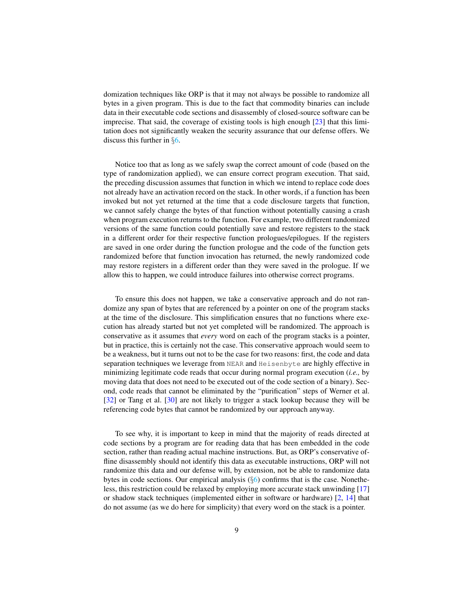domization techniques like ORP is that it may not always be possible to randomize all bytes in a given program. This is due to the fact that commodity binaries can include data in their executable code sections and disassembly of closed-source software can be imprecise. That said, the coverage of existing tools is high enough [\[23\]](#page-16-9) that this limitation does not significantly weaken the security assurance that our defense offers. We discuss this further in §[6.](#page-10-0)

Notice too that as long as we safely swap the correct amount of code (based on the type of randomization applied), we can ensure correct program execution. That said, the preceding discussion assumes that function in which we intend to replace code does not already have an activation record on the stack. In other words, if a function has been invoked but not yet returned at the time that a code disclosure targets that function, we cannot safely change the bytes of that function without potentially causing a crash when program execution returns to the function. For example, two different randomized versions of the same function could potentially save and restore registers to the stack in a different order for their respective function prologues/epilogues. If the registers are saved in one order during the function prologue and the code of the function gets randomized before that function invocation has returned, the newly randomized code may restore registers in a different order than they were saved in the prologue. If we allow this to happen, we could introduce failures into otherwise correct programs.

To ensure this does not happen, we take a conservative approach and do not randomize any span of bytes that are referenced by a pointer on one of the program stacks at the time of the disclosure. This simplification ensures that no functions where execution has already started but not yet completed will be randomized. The approach is conservative as it assumes that *every* word on each of the program stacks is a pointer, but in practice, this is certainly not the case. This conservative approach would seem to be a weakness, but it turns out not to be the case for two reasons: first, the code and data separation techniques we leverage from NEAR and Heisenbyte are highly effective in minimizing legitimate code reads that occur during normal program execution (*i.e.,* by moving data that does not need to be executed out of the code section of a binary). Second, code reads that cannot be eliminated by the "purification" steps of Werner et al. [\[32\]](#page-16-5) or Tang et al. [\[30\]](#page-16-4) are not likely to trigger a stack lookup because they will be referencing code bytes that cannot be randomized by our approach anyway.

To see why, it is important to keep in mind that the majority of reads directed at code sections by a program are for reading data that has been embedded in the code section, rather than reading actual machine instructions. But, as ORP's conservative offline disassembly should not identify this data as executable instructions, ORP will not randomize this data and our defense will, by extension, not be able to randomize data bytes in code sections. Our empirical analysis  $(\S6)$  $(\S6)$  confirms that is the case. Nonetheless, this restriction could be relaxed by employing more accurate stack unwinding [\[17\]](#page-15-14) or shadow stack techniques (implemented either in software or hardware) [\[2,](#page-14-3) [14\]](#page-15-15) that do not assume (as we do here for simplicity) that every word on the stack is a pointer.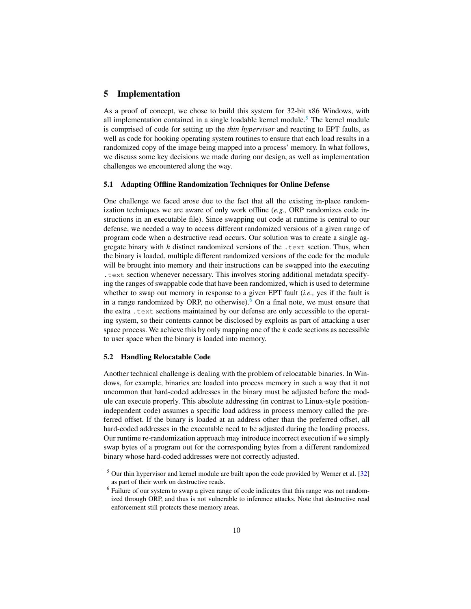# <span id="page-9-0"></span>5 Implementation

As a proof of concept, we chose to build this system for 32-bit x86 Windows, with all implementation contained in a single loadable kernel module.<sup>[5](#page-9-1)</sup> The kernel module is comprised of code for setting up the *thin hypervisor* and reacting to EPT faults, as well as code for hooking operating system routines to ensure that each load results in a randomized copy of the image being mapped into a process' memory. In what follows, we discuss some key decisions we made during our design, as well as implementation challenges we encountered along the way.

#### 5.1 Adapting Offline Randomization Techniques for Online Defense

One challenge we faced arose due to the fact that all the existing in-place randomization techniques we are aware of only work offline (*e.g.,* ORP randomizes code instructions in an executable file). Since swapping out code at runtime is central to our defense, we needed a way to access different randomized versions of a given range of program code when a destructive read occurs. Our solution was to create a single aggregate binary with k distinct randomized versions of the  $\tt.text{ text section}$ . Thus, when the binary is loaded, multiple different randomized versions of the code for the module will be brought into memory and their instructions can be swapped into the executing .text section whenever necessary. This involves storing additional metadata specifying the ranges of swappable code that have been randomized, which is used to determine whether to swap out memory in response to a given EPT fault (*i.e.,* yes if the fault is in a range randomized by ORP, no otherwise). $\delta$  On a final note, we must ensure that the extra .text sections maintained by our defense are only accessible to the operating system, so their contents cannot be disclosed by exploits as part of attacking a user space process. We achieve this by only mapping one of the  $k$  code sections as accessible to user space when the binary is loaded into memory.

#### 5.2 Handling Relocatable Code

Another technical challenge is dealing with the problem of relocatable binaries. In Windows, for example, binaries are loaded into process memory in such a way that it not uncommon that hard-coded addresses in the binary must be adjusted before the module can execute properly. This absolute addressing (in contrast to Linux-style positionindependent code) assumes a specific load address in process memory called the preferred offset. If the binary is loaded at an address other than the preferred offset, all hard-coded addresses in the executable need to be adjusted during the loading process. Our runtime re-randomization approach may introduce incorrect execution if we simply swap bytes of a program out for the corresponding bytes from a different randomized binary whose hard-coded addresses were not correctly adjusted.

<span id="page-9-1"></span> $5$  Our thin hypervisor and kernel module are built upon the code provided by Werner et al. [\[32\]](#page-16-5) as part of their work on destructive reads.

<span id="page-9-2"></span><sup>&</sup>lt;sup>6</sup> Failure of our system to swap a given range of code indicates that this range was not randomized through ORP, and thus is not vulnerable to inference attacks. Note that destructive read enforcement still protects these memory areas.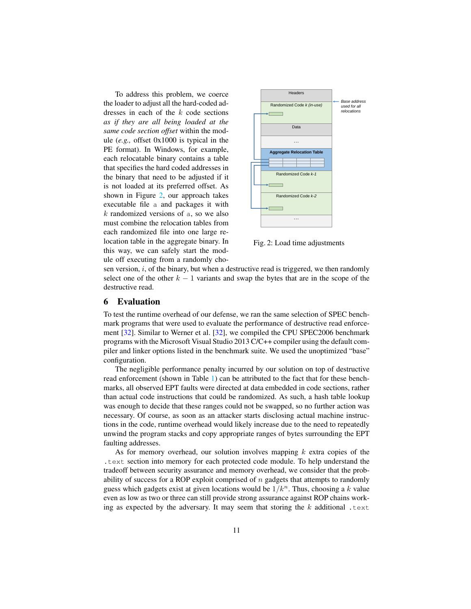To address this problem, we coerce the loader to adjust all the hard-coded addresses in each of the  $k$  code sections *as if they are all being loaded at the same code section offset* within the module (*e.g.,* offset 0x1000 is typical in the PE format). In Windows, for example, each relocatable binary contains a table that specifies the hard coded addresses in the binary that need to be adjusted if it is not loaded at its preferred offset. As shown in Figure [2,](#page-10-1) our approach takes executable file a and packages it with  $k$  randomized versions of  $a$ , so we also must combine the relocation tables from each randomized file into one large relocation table in the aggregate binary. In this way, we can safely start the module off executing from a randomly cho-

<span id="page-10-1"></span>

Fig. 2: Load time adjustments

sen version,  $i$ , of the binary, but when a destructive read is triggered, we then randomly select one of the other  $k - 1$  variants and swap the bytes that are in the scope of the destructive read.

## <span id="page-10-0"></span>6 Evaluation

To test the runtime overhead of our defense, we ran the same selection of SPEC benchmark programs that were used to evaluate the performance of destructive read enforcement [\[32\]](#page-16-5). Similar to Werner et al. [\[32\]](#page-16-5), we compiled the CPU SPEC2006 benchmark programs with the Microsoft Visual Studio 2013 C/C++ compiler using the default compiler and linker options listed in the benchmark suite. We used the unoptimized "base" configuration.

The negligible performance penalty incurred by our solution on top of destructive read enforcement (shown in Table [1\)](#page-11-0) can be attributed to the fact that for these benchmarks, all observed EPT faults were directed at data embedded in code sections, rather than actual code instructions that could be randomized. As such, a hash table lookup was enough to decide that these ranges could not be swapped, so no further action was necessary. Of course, as soon as an attacker starts disclosing actual machine instructions in the code, runtime overhead would likely increase due to the need to repeatedly unwind the program stacks and copy appropriate ranges of bytes surrounding the EPT faulting addresses.

As for memory overhead, our solution involves mapping  $k$  extra copies of the .text section into memory for each protected code module. To help understand the tradeoff between security assurance and memory overhead, we consider that the probability of success for a ROP exploit comprised of  $n$  gadgets that attempts to randomly guess which gadgets exist at given locations would be  $1/k<sup>n</sup>$ . Thus, choosing a k value even as low as two or three can still provide strong assurance against ROP chains working as expected by the adversary. It may seem that storing the k additional .text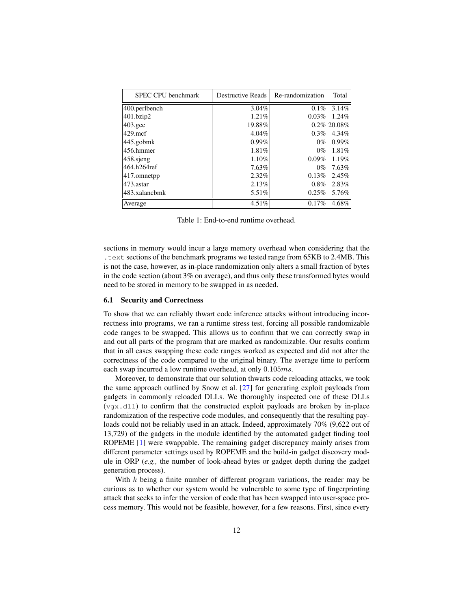<span id="page-11-0"></span>

| SPEC CPU benchmark | <b>Destructive Reads</b> | Re-randomization | Total          |
|--------------------|--------------------------|------------------|----------------|
| 400.perlbench      | 3.04%                    | $0.1\%$          | 3.14%          |
| 401.bzip2          | 1.21%                    | $0.03\%$         | $1.24\%$       |
| $403.\text{gcc}$   | 19.88%                   |                  | $0.2\%$ 20.08% |
| $429$ .mcf         | 4.04%                    | $0.3\%$          | $4.34\%$       |
| 445.gobmk          | $0.99\%$                 | $0\%$            | $0.99\%$       |
| 456.hmmer          | 1.81%                    | $0\%$            | 1.81%          |
| 458 sjeng          | 1.10%                    | $0.09\%$         | $1.19\%$       |
| 464.h264ref        | 7.63%                    | $0\%$            | $7.63\%$       |
| 417.omnetpp        | 2.32%                    | 0.13%            | 2.45%          |
| 473.astar          | 2.13%                    | $0.8\%$          | 2.83%          |
| 483.xalancbmk      | 5.51%                    | $0.25\%$         | 5.76%          |
| Average            | 4.51%                    | 0.17%            | 4.68%          |

Table 1: End-to-end runtime overhead.

sections in memory would incur a large memory overhead when considering that the .text sections of the benchmark programs we tested range from 65KB to 2.4MB. This is not the case, however, as in-place randomization only alters a small fraction of bytes in the code section (about 3% on average), and thus only these transformed bytes would need to be stored in memory to be swapped in as needed.

## 6.1 Security and Correctness

To show that we can reliably thwart code inference attacks without introducing incorrectness into programs, we ran a runtime stress test, forcing all possible randomizable code ranges to be swapped. This allows us to confirm that we can correctly swap in and out all parts of the program that are marked as randomizable. Our results confirm that in all cases swapping these code ranges worked as expected and did not alter the correctness of the code compared to the original binary. The average time to perform each swap incurred a low runtime overhead, at only  $0.105ms$ .

Moreover, to demonstrate that our solution thwarts code reloading attacks, we took the same approach outlined by Snow et al. [\[27\]](#page-16-7) for generating exploit payloads from gadgets in commonly reloaded DLLs. We thoroughly inspected one of these DLLs (vgx.dll) to confirm that the constructed exploit payloads are broken by in-place randomization of the respective code modules, and consequently that the resulting payloads could not be reliably used in an attack. Indeed, approximately 70% (9,622 out of 13,729) of the gadgets in the module identified by the automated gadget finding tool ROPEME [\[1\]](#page-14-4) were swappable. The remaining gadget discrepancy mainly arises from different parameter settings used by ROPEME and the build-in gadget discovery module in ORP (*e.g.,* the number of look-ahead bytes or gadget depth during the gadget generation process).

With  $k$  being a finite number of different program variations, the reader may be curious as to whether our system would be vulnerable to some type of fingerprinting attack that seeks to infer the version of code that has been swapped into user-space process memory. This would not be feasible, however, for a few reasons. First, since every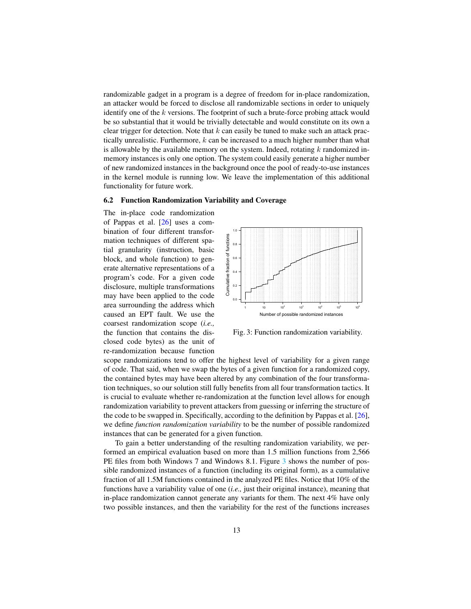randomizable gadget in a program is a degree of freedom for in-place randomization, an attacker would be forced to disclose all randomizable sections in order to uniquely identify one of the k versions. The footprint of such a brute-force probing attack would be so substantial that it would be trivially detectable and would constitute on its own a clear trigger for detection. Note that  $k$  can easily be tuned to make such an attack practically unrealistic. Furthermore,  $k$  can be increased to a much higher number than what is allowable by the available memory on the system. Indeed, rotating  $k$  randomized inmemory instances is only one option. The system could easily generate a higher number of new randomized instances in the background once the pool of ready-to-use instances in the kernel module is running low. We leave the implementation of this additional functionality for future work.

#### 6.2 Function Randomization Variability and Coverage

The in-place code randomization of Pappas et al. [\[26\]](#page-16-0) uses a combination of four different transformation techniques of different spatial granularity (instruction, basic block, and whole function) to generate alternative representations of a program's code. For a given code disclosure, multiple transformations may have been applied to the code area surrounding the address which caused an EPT fault. We use the coarsest randomization scope (*i.e.,* the function that contains the disclosed code bytes) as the unit of re-randomization because function

<span id="page-12-0"></span>

Fig. 3: Function randomization variability.

scope randomizations tend to offer the highest level of variability for a given range of code. That said, when we swap the bytes of a given function for a randomized copy, the contained bytes may have been altered by any combination of the four transformation techniques, so our solution still fully benefits from all four transformation tactics. It is crucial to evaluate whether re-randomization at the function level allows for enough randomization variability to prevent attackers from guessing or inferring the structure of the code to be swapped in. Specifically, according to the definition by Pappas et al. [\[26\]](#page-16-0), we define *function randomization variability* to be the number of possible randomized instances that can be generated for a given function.

To gain a better understanding of the resulting randomization variability, we performed an empirical evaluation based on more than 1.5 million functions from 2,566 PE files from both Windows 7 and Windows 8.1. Figure [3](#page-12-0) shows the number of possible randomized instances of a function (including its original form), as a cumulative fraction of all 1.5M functions contained in the analyzed PE files. Notice that 10% of the functions have a variability value of one (*i.e.,* just their original instance), meaning that in-place randomization cannot generate any variants for them. The next 4% have only two possible instances, and then the variability for the rest of the functions increases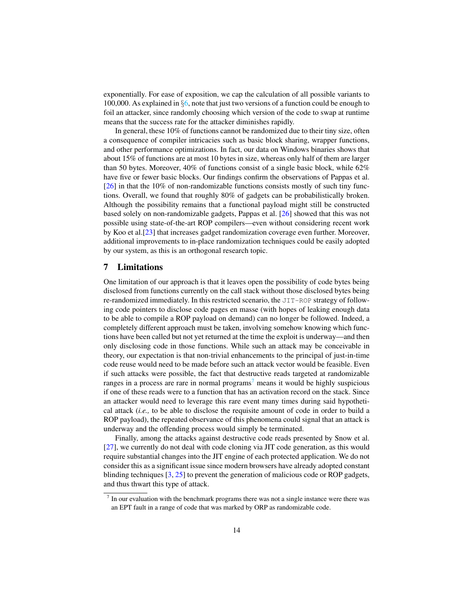exponentially. For ease of exposition, we cap the calculation of all possible variants to 100,000. As explained in  $\S6$ , note that just two versions of a function could be enough to foil an attacker, since randomly choosing which version of the code to swap at runtime means that the success rate for the attacker diminishes rapidly.

In general, these 10% of functions cannot be randomized due to their tiny size, often a consequence of compiler intricacies such as basic block sharing, wrapper functions, and other performance optimizations. In fact, our data on Windows binaries shows that about 15% of functions are at most 10 bytes in size, whereas only half of them are larger than 50 bytes. Moreover, 40% of functions consist of a single basic block, while 62% have five or fewer basic blocks. Our findings confirm the observations of Pappas et al. [\[26\]](#page-16-0) in that the 10% of non-randomizable functions consists mostly of such tiny functions. Overall, we found that roughly 80% of gadgets can be probabilistically broken. Although the possibility remains that a functional payload might still be constructed based solely on non-randomizable gadgets, Pappas et al. [\[26\]](#page-16-0) showed that this was not possible using state-of-the-art ROP compilers—even without considering recent work by Koo et al.[\[23\]](#page-16-9) that increases gadget randomization coverage even further. Moreover, additional improvements to in-place randomization techniques could be easily adopted by our system, as this is an orthogonal research topic.

# 7 Limitations

One limitation of our approach is that it leaves open the possibility of code bytes being disclosed from functions currently on the call stack without those disclosed bytes being re-randomized immediately. In this restricted scenario, the JIT-ROP strategy of following code pointers to disclose code pages en masse (with hopes of leaking enough data to be able to compile a ROP payload on demand) can no longer be followed. Indeed, a completely different approach must be taken, involving somehow knowing which functions have been called but not yet returned at the time the exploit is underway—and then only disclosing code in those functions. While such an attack may be conceivable in theory, our expectation is that non-trivial enhancements to the principal of just-in-time code reuse would need to be made before such an attack vector would be feasible. Even if such attacks were possible, the fact that destructive reads targeted at randomizable ranges in a process are rare in normal programs<sup>[7](#page-13-0)</sup> means it would be highly suspicious if one of these reads were to a function that has an activation record on the stack. Since an attacker would need to leverage this rare event many times during said hypothetical attack (*i.e.,* to be able to disclose the requisite amount of code in order to build a ROP payload), the repeated observance of this phenomena could signal that an attack is underway and the offending process would simply be terminated.

Finally, among the attacks against destructive code reads presented by Snow et al. [\[27\]](#page-16-7), we currently do not deal with code cloning via JIT code generation, as this would require substantial changes into the JIT engine of each protected application. We do not consider this as a significant issue since modern browsers have already adopted constant blinding techniques [\[3,](#page-14-5) [25\]](#page-16-10) to prevent the generation of malicious code or ROP gadgets, and thus thwart this type of attack.

<span id="page-13-0"></span> $<sup>7</sup>$  In our evaluation with the benchmark programs there was not a single instance were there was</sup> an EPT fault in a range of code that was marked by ORP as randomizable code.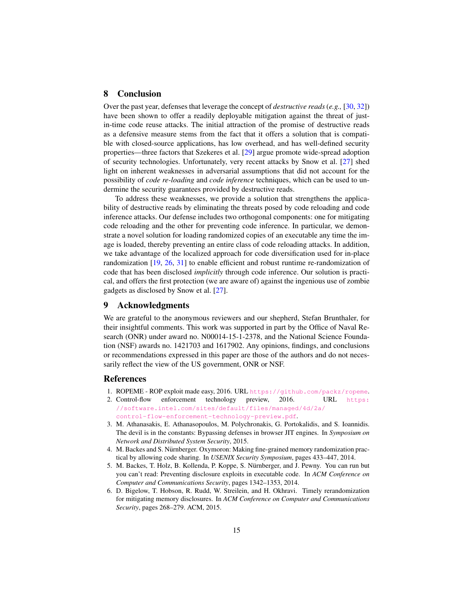# 8 Conclusion

Over the past year, defenses that leverage the concept of *destructive reads*(*e.g.,* [\[30,](#page-16-4) [32\]](#page-16-5)) have been shown to offer a readily deployable mitigation against the threat of justin-time code reuse attacks. The initial attraction of the promise of destructive reads as a defensive measure stems from the fact that it offers a solution that is compatible with closed-source applications, has low overhead, and has well-defined security properties—three factors that Szekeres et al. [\[29\]](#page-16-6) argue promote wide-spread adoption of security technologies. Unfortunately, very recent attacks by Snow et al. [\[27\]](#page-16-7) shed light on inherent weaknesses in adversarial assumptions that did not account for the possibility of *code re-loading* and *code inference* techniques, which can be used to undermine the security guarantees provided by destructive reads.

To address these weaknesses, we provide a solution that strengthens the applicability of destructive reads by eliminating the threats posed by code reloading and code inference attacks. Our defense includes two orthogonal components: one for mitigating code reloading and the other for preventing code inference. In particular, we demonstrate a novel solution for loading randomized copies of an executable any time the image is loaded, thereby preventing an entire class of code reloading attacks. In addition, we take advantage of the localized approach for code diversification used for in-place randomization [\[19,](#page-15-5) [26,](#page-16-0) [31\]](#page-16-1) to enable efficient and robust runtime re-randomization of code that has been disclosed *implicitly* through code inference. Our solution is practical, and offers the first protection (we are aware of) against the ingenious use of zombie gadgets as disclosed by Snow et al. [\[27\]](#page-16-7).

# 9 Acknowledgments

We are grateful to the anonymous reviewers and our shepherd, Stefan Brunthaler, for their insightful comments. This work was supported in part by the Office of Naval Research (ONR) under award no. N00014-15-1-2378, and the National Science Foundation (NSF) awards no. 1421703 and 1617902. Any opinions, findings, and conclusions or recommendations expressed in this paper are those of the authors and do not necessarily reflect the view of the US government, ONR or NSF.

## References

- <span id="page-14-4"></span>1. ROPEME - ROP exploit made easy, 2016. URL <https://github.com/packz/ropeme>.
- <span id="page-14-3"></span>2. Control-flow enforcement technology preview, 2016. URL [https:](https://software.intel.com/sites/default/files/managed/4d/2a/control-flow-enforcement-technology-preview.pdf) [//software.intel.com/sites/default/files/managed/4d/2a/](https://software.intel.com/sites/default/files/managed/4d/2a/control-flow-enforcement-technology-preview.pdf) [control-flow-enforcement-technology-preview.pdf](https://software.intel.com/sites/default/files/managed/4d/2a/control-flow-enforcement-technology-preview.pdf).
- <span id="page-14-5"></span>3. M. Athanasakis, E. Athanasopoulos, M. Polychronakis, G. Portokalidis, and S. Ioannidis. The devil is in the constants: Bypassing defenses in browser JIT engines. In *Symposium on Network and Distributed System Security*, 2015.
- <span id="page-14-1"></span>4. M. Backes and S. Nürnberger. Oxymoron: Making fine-grained memory randomization practical by allowing code sharing. In *USENIX Security Symposium*, pages 433–447, 2014.
- <span id="page-14-2"></span>5. M. Backes, T. Holz, B. Kollenda, P. Koppe, S. Nürnberger, and J. Pewny. You can run but you can't read: Preventing disclosure exploits in executable code. In *ACM Conference on Computer and Communications Security*, pages 1342–1353, 2014.
- <span id="page-14-0"></span>6. D. Bigelow, T. Hobson, R. Rudd, W. Streilein, and H. Okhravi. Timely rerandomization for mitigating memory disclosures. In *ACM Conference on Computer and Communications Security*, pages 268–279. ACM, 2015.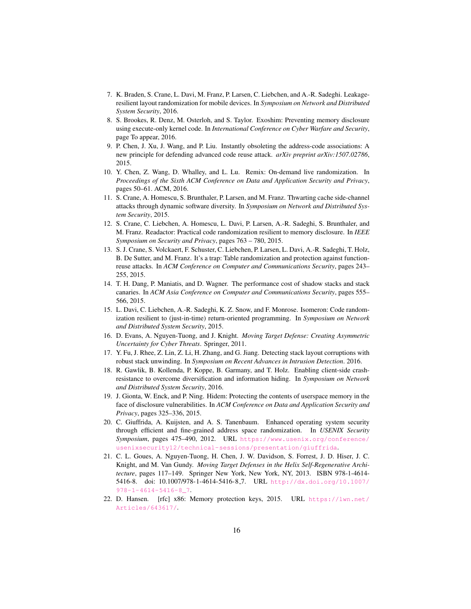- <span id="page-15-0"></span>7. K. Braden, S. Crane, L. Davi, M. Franz, P. Larsen, C. Liebchen, and A.-R. Sadeghi. Leakageresilient layout randomization for mobile devices. In *Symposium on Network and Distributed System Security*, 2016.
- <span id="page-15-6"></span>8. S. Brookes, R. Denz, M. Osterloh, and S. Taylor. Exoshim: Preventing memory disclosure using execute-only kernel code. In *International Conference on Cyber Warfare and Security*, page To appear, 2016.
- <span id="page-15-7"></span>9. P. Chen, J. Xu, J. Wang, and P. Liu. Instantly obsoleting the address-code associations: A new principle for defending advanced code reuse attack. *arXiv preprint arXiv:1507.02786*, 2015.
- <span id="page-15-2"></span>10. Y. Chen, Z. Wang, D. Whalley, and L. Lu. Remix: On-demand live randomization. In *Proceedings of the Sixth ACM Conference on Data and Application Security and Privacy*, pages 50–61. ACM, 2016.
- <span id="page-15-9"></span>11. S. Crane, A. Homescu, S. Brunthaler, P. Larsen, and M. Franz. Thwarting cache side-channel attacks through dynamic software diversity. In *Symposium on Network and Distributed System Security*, 2015.
- <span id="page-15-1"></span>12. S. Crane, C. Liebchen, A. Homescu, L. Davi, P. Larsen, A.-R. Sadeghi, S. Brunthaler, and M. Franz. Readactor: Practical code randomization resilient to memory disclosure. In *IEEE Symposium on Security and Privacy*, pages 763 – 780, 2015.
- <span id="page-15-3"></span>13. S. J. Crane, S. Volckaert, F. Schuster, C. Liebchen, P. Larsen, L. Davi, A.-R. Sadeghi, T. Holz, B. De Sutter, and M. Franz. It's a trap: Table randomization and protection against functionreuse attacks. In *ACM Conference on Computer and Communications Security*, pages 243– 255, 2015.
- <span id="page-15-15"></span>14. T. H. Dang, P. Maniatis, and D. Wagner. The performance cost of shadow stacks and stack canaries. In *ACM Asia Conference on Computer and Communications Security*, pages 555– 566, 2015.
- <span id="page-15-4"></span>15. L. Davi, C. Liebchen, A.-R. Sadeghi, K. Z. Snow, and F. Monrose. Isomeron: Code randomization resilient to (just-in-time) return-oriented programming. In *Symposium on Network and Distributed System Security*, 2015.
- <span id="page-15-10"></span>16. D. Evans, A. Nguyen-Tuong, and J. Knight. *Moving Target Defense: Creating Asymmetric Uncertainty for Cyber Threats*. Springer, 2011.
- <span id="page-15-14"></span>17. Y. Fu, J. Rhee, Z. Lin, Z. Li, H. Zhang, and G. Jiang. Detecting stack layout corruptions with robust stack unwinding. In *Symposium on Recent Advances in Intrusion Detection*. 2016.
- <span id="page-15-8"></span>18. R. Gawlik, B. Kollenda, P. Koppe, B. Garmany, and T. Holz. Enabling client-side crashresistance to overcome diversification and information hiding. In *Symposium on Network and Distributed System Security*, 2016.
- <span id="page-15-5"></span>19. J. Gionta, W. Enck, and P. Ning. Hidem: Protecting the contents of userspace memory in the face of disclosure vulnerabilities. In *ACM Conference on Data and Application Security and Privacy*, pages 325–336, 2015.
- <span id="page-15-11"></span>20. C. Giuffrida, A. Kuijsten, and A. S. Tanenbaum. Enhanced operating system security through efficient and fine-grained address space randomization. In *USENIX Security Symposium*, pages 475–490, 2012. URL [https://www.usenix.org/conference/](https://www.usenix.org/conference/usenixsecurity12/technical-sessions/presentation/giuffrida) [usenixsecurity12/technical-sessions/presentation/giuffrida](https://www.usenix.org/conference/usenixsecurity12/technical-sessions/presentation/giuffrida).
- <span id="page-15-12"></span>21. C. L. Goues, A. Nguyen-Tuong, H. Chen, J. W. Davidson, S. Forrest, J. D. Hiser, J. C. Knight, and M. Van Gundy. *Moving Target Defenses in the Helix Self-Regenerative Architecture*, pages 117–149. Springer New York, New York, NY, 2013. ISBN 978-1-4614- 5416-8. doi: 10.1007/978-1-4614-5416-8 7. URL [http://dx.doi.org/10.1007/](http://dx.doi.org/10.1007/978-1-4614-5416-8_7) [978-1-4614-5416-8\\_7](http://dx.doi.org/10.1007/978-1-4614-5416-8_7).
- <span id="page-15-13"></span>22. D. Hansen. [rfc] x86: Memory protection keys, 2015. URL [https://lwn.net/](https://lwn.net/Articles/643617/) [Articles/643617/](https://lwn.net/Articles/643617/).